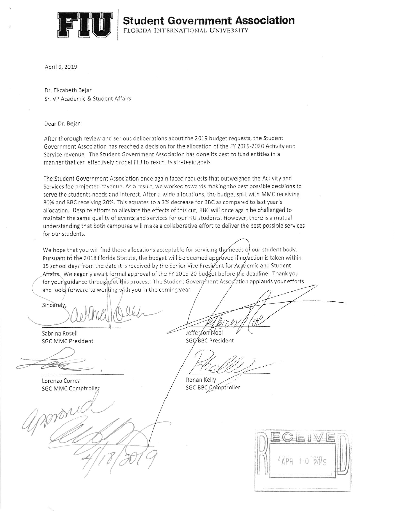

April 9, 2019

Dr. Elizabeth Bejar Sr. VP Academic & Student Affairs

#### Dear Dr. Bejar:

After thorough review and serious deliberations about the 2019 budget requests, the Student Government Association has reached a decision for the allocation of the FY 2019-2020 Activity and Service revenue. The Student Government Association has done its best to fund entities in a manner that can effectively propel FIU to reach its strategic goals.

The Student Government Association once again faced requests that outweighed the Activity and Services fee projected revenue. As a result, we worked towards making the best possible decisions to serve the students needs and interest. After u-wide allocations, the budget split with MMC receiving 80% and BBC receiving 20%. This equates to a 3% decrease for BBC as compared to last year's allocation. Despite efforts to alleviate the effects of this cut, BBC will once again be challenged to maintain the same quality of events and services for our FIU students. However, there is a mutual understanding that both campuses will make a collaborative effort to deliver the best possible services for our students.

We hope that you will find these allocations acceptable for servicing the needs of our student body. Pursuant to the 2018 Florida Statute, the budget will be deemed approved if no/action is taken within 15 school days from the date it is received by the Senior Vice Presigent for Academic and Student Affairs. We eagerly await formal approval of the FY 2019-20 budget before the deadline. Thank you for your guidance throughout this process. The Student Government Association applauds your efforts and looks forward to working with you in the coming year.

Sincerely

Sabrina Rosell **SGC MMC President** 

Lorenzo Correa **SGC MMC Comptroller** 

Jefferson Noel

SGC/BBC President

Ronan Kelly SGC BBC Comptroller

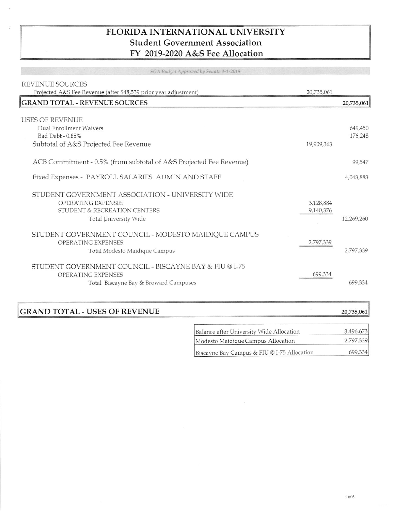## FLORIDA INTERNATIONAL UNIVERSITY **Student Government Association** FY 2019-2020 A&S Fee Allocation

SGA Budget Approved by Senate 4-1-2019

| REVENUE SOURCES                                                    |            |            |
|--------------------------------------------------------------------|------------|------------|
| Projected A&S Fee Revenue (after \$48,539 prior year adjustment)   | 20,735,061 |            |
| <b>GRAND TOTAL - REVENUE SOURCES</b>                               |            | 20,735,061 |
|                                                                    |            |            |
| <b>USES OF REVENUE</b>                                             |            |            |
| Dual Enrollment Waivers                                            |            | 649,450    |
| Bad Debt - 0.85%                                                   |            | 176,248    |
| Subtotal of A&S Projected Fee Revenue                              | 19,909,363 |            |
|                                                                    |            |            |
| ACB Commitment - 0.5% (from subtotal of A&S Projected Fee Revenue) |            | 99,547     |
|                                                                    |            |            |
| Fixed Expenses - PAYROLL SALARIES ADMIN AND STAFF                  |            | 4,043,883  |
|                                                                    |            |            |
| STUDENT GOVERNMENT ASSOCIATION - UNIVERSITY WIDE                   |            |            |
| OPERATING EXPENSES                                                 | 3,128,884  |            |
| STUDENT & RECREATION CENTERS                                       | 9,140,376  |            |
| Total University Wide                                              |            | 12,269,260 |
| STUDENT GOVERNMENT COUNCIL - MODESTO MAIDIQUE CAMPUS               |            |            |
| OPERATING EXPENSES                                                 | 2,797,339  |            |
| Total Modesto Maidique Campus                                      |            | 2,797,339  |
|                                                                    |            |            |
| STUDENT GOVERNMENT COUNCIL - BISCAYNE BAY & FIU @ I-75             |            |            |
| OPERATING EXPENSES                                                 | 699,334    |            |
| Total Biscayne Bay & Broward Campuses                              |            | 699,334    |
|                                                                    |            |            |
|                                                                    |            |            |

## **GRAND TOTAL - USES OF REVENUE**

 $\overline{a}$ 

| Balance after University Wide Allocation    | 3,496,673 |
|---------------------------------------------|-----------|
| Modesto Maidique Campus Allocation          | 2,797,339 |
| Biscayne Bay Campus & FIU @ I-75 Allocation | 699,334   |

20,735,061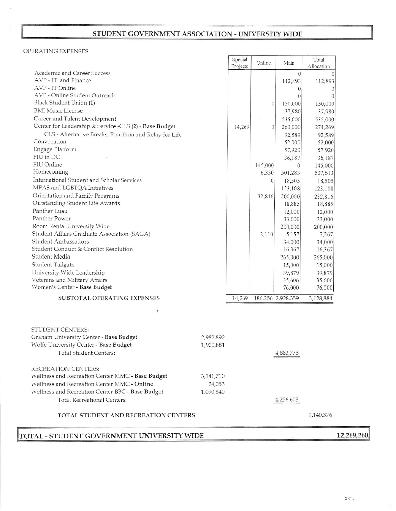# STUDENT GOVERNMENT ASSOCIATION - UNIVERSITY WIDE

### OPERATING EXPENSES:

|                                                        |           | Special<br>Projects | Online         | Main              | Total<br>Allocation |  |
|--------------------------------------------------------|-----------|---------------------|----------------|-------------------|---------------------|--|
| Academic and Career Success                            |           |                     |                | $\Omega$          | $\Omega$            |  |
| AVP - IT and Finance                                   |           |                     |                | 112,893           | 112,893             |  |
| AVP - IT Online                                        |           |                     |                | $\theta$          | $\theta$            |  |
| AVP - Online Student Outreach                          |           |                     |                | $\Omega$          | $\overline{0}$      |  |
| Black Student Union (1)                                |           |                     | $\overline{0}$ | 150,000           | 150,000             |  |
| <b>BMI</b> Music License                               |           |                     |                | 37,980            | 37,980              |  |
| Career and Talent Development                          |           |                     |                | 535,000           | 535,000             |  |
| Center for Leadership & Service -CLS (2) - Base Budget |           | 14,269              | $\theta$       | 260,000           | 274,269             |  |
| CLS - Alternative Breaks, Roarthon and Relay for Life  |           |                     |                | 92,589            | 92,589              |  |
| Convocation                                            |           |                     |                | 52,000            | 52,000              |  |
| Engage Platform                                        |           |                     |                | 57,920            | 57,920              |  |
| FIU in DC                                              |           |                     |                | 36,187            | 36,187              |  |
| FIU Online                                             |           |                     | 145,000        | $\overline{0}$    | 145,000             |  |
| Homecoming                                             |           |                     | 6,330          | 501,283           | 507,613             |  |
| International Student and Scholar Services             |           |                     |                |                   |                     |  |
| MPAS and LGBTQA Initiatives                            |           |                     | $\theta$       | 18,505            | 18,505              |  |
|                                                        |           |                     |                | 123,108           | 123,108             |  |
| Orientation and Family Programs                        |           |                     | 32,816         | 200,000           | 232,816             |  |
| Outstanding Student Life Awards                        |           |                     |                | 18,885            | 18,885              |  |
| Panther Luau                                           |           |                     |                | 12,000            | 12,000              |  |
| Panther Power                                          |           |                     |                | 33,000            | 33,000              |  |
| Room Rental University Wide                            |           |                     |                | 200,000           | 200,000             |  |
| Student Affairs Graduate Association (SAGA)            |           |                     | 2,110          | 5,157             | 7,267               |  |
| Student Ambassadors                                    |           |                     |                | 34,000            | 34,000              |  |
| Student Conduct & Conflict Resolution                  |           |                     |                | 16,367            | 16,367              |  |
| Student Media                                          |           |                     |                | 265,000           | 265,000             |  |
| Student Tailgate                                       |           |                     |                | 15,000            | 15,000              |  |
| University Wide Leadership                             |           |                     |                | 39,879            | 39,879              |  |
| Veterans and Military Affairs                          |           |                     |                | 35,606            | 35,606              |  |
| Women's Center - Base Budget                           |           |                     |                | 76,000            | 76,000              |  |
| SUBTOTAL OPERATING EXPENSES                            |           | 14,269              |                | 186,256 2,928,359 | 3,128,884           |  |
| $\overline{v}$                                         |           |                     |                |                   |                     |  |
| STUDENT CENTERS:                                       |           |                     |                |                   |                     |  |
| Graham University Center - Base Budget                 | 2,982,892 |                     |                |                   |                     |  |
| Wolfe University Center - Base Budget                  | 1,900,881 |                     |                |                   |                     |  |
| <b>Total Student Centers:</b>                          |           |                     |                | 4,883,773         |                     |  |
| RECREATION CENTERS:                                    |           |                     |                |                   |                     |  |
| Wellness and Recreation Center MMC - Base Budget       | 3,141,710 |                     |                |                   |                     |  |
| Wellness and Recreation Center MMC - Online            | 24,053    |                     |                |                   |                     |  |
| Wellness and Recreation Center BBC - Base Budget       | 1,090,840 |                     |                |                   |                     |  |
|                                                        |           |                     |                |                   |                     |  |
| Total Recreational Centers:                            |           |                     |                | 4,256,603         |                     |  |
| TOTAL STUDENT AND RECREATION CENTERS                   |           |                     |                |                   | 9,140,376           |  |
| TOTAL - STUDENT GOVERNMENT UNIVERSITY WIDE             |           |                     |                |                   |                     |  |

 $2$  of  $6$